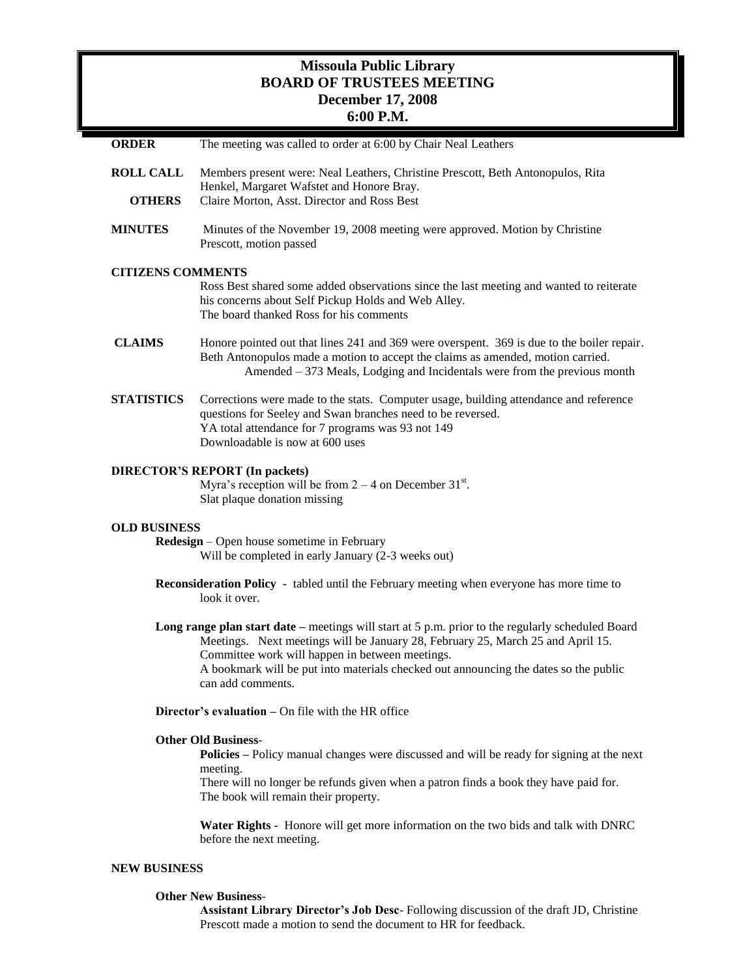## **Missoula Public Library BOARD OF TRUSTEES MEETING December 17, 2008 6:00 P.M.**

| <b>ORDER</b>                                                                                                                                                                                                          | The meeting was called to order at 6:00 by Chair Neal Leathers                                                                                                                                                                                                                                                                                                |
|-----------------------------------------------------------------------------------------------------------------------------------------------------------------------------------------------------------------------|---------------------------------------------------------------------------------------------------------------------------------------------------------------------------------------------------------------------------------------------------------------------------------------------------------------------------------------------------------------|
| <b>ROLL CALL</b><br><b>OTHERS</b>                                                                                                                                                                                     | Members present were: Neal Leathers, Christine Prescott, Beth Antonopulos, Rita<br>Henkel, Margaret Wafstet and Honore Bray.<br>Claire Morton, Asst. Director and Ross Best                                                                                                                                                                                   |
| <b>MINUTES</b>                                                                                                                                                                                                        | Minutes of the November 19, 2008 meeting were approved. Motion by Christine<br>Prescott, motion passed                                                                                                                                                                                                                                                        |
| <b>CITIZENS COMMENTS</b><br>Ross Best shared some added observations since the last meeting and wanted to reiterate<br>his concerns about Self Pickup Holds and Web Alley.<br>The board thanked Ross for his comments |                                                                                                                                                                                                                                                                                                                                                               |
| <b>CLAIMS</b>                                                                                                                                                                                                         | Honore pointed out that lines 241 and 369 were overspent. 369 is due to the boiler repair.<br>Beth Antonopulos made a motion to accept the claims as amended, motion carried.<br>Amended – 373 Meals, Lodging and Incidentals were from the previous month                                                                                                    |
| <b>STATISTICS</b>                                                                                                                                                                                                     | Corrections were made to the stats. Computer usage, building attendance and reference<br>questions for Seeley and Swan branches need to be reversed.<br>YA total attendance for 7 programs was 93 not 149<br>Downloadable is now at 600 uses                                                                                                                  |
| <b>DIRECTOR'S REPORT (In packets)</b><br>Myra's reception will be from $2 - 4$ on December 31 <sup>st</sup> .<br>Slat plaque donation missing                                                                         |                                                                                                                                                                                                                                                                                                                                                               |
| <b>OLD BUSINESS</b><br><b>Redesign</b> – Open house sometime in February<br>Will be completed in early January (2-3 weeks out)                                                                                        |                                                                                                                                                                                                                                                                                                                                                               |
| <b>Reconsideration Policy</b> - tabled until the February meeting when everyone has more time to<br>look it over.                                                                                                     |                                                                                                                                                                                                                                                                                                                                                               |
|                                                                                                                                                                                                                       | <b>Long range plan start date</b> – meetings will start at $5$ p.m. prior to the regularly scheduled Board<br>Meetings. Next meetings will be January 28, February 25, March 25 and April 15.<br>Committee work will happen in between meetings.<br>A bookmark will be put into materials checked out announcing the dates so the public<br>can add comments. |
| <b>Director's evaluation – On file with the HR office</b>                                                                                                                                                             |                                                                                                                                                                                                                                                                                                                                                               |
|                                                                                                                                                                                                                       | <b>Other Old Business-</b><br><b>Policies</b> – Policy manual changes were discussed and will be ready for signing at the next<br>meeting.<br>There will no longer be refunds given when a patron finds a book they have paid for.<br>The book will remain their property.                                                                                    |
|                                                                                                                                                                                                                       | Water Rights - Honore will get more information on the two bids and talk with DNRC<br>before the next meeting.                                                                                                                                                                                                                                                |
| <b>NEW BUSINESS</b>                                                                                                                                                                                                   |                                                                                                                                                                                                                                                                                                                                                               |
| <b>Other New Business-</b>                                                                                                                                                                                            |                                                                                                                                                                                                                                                                                                                                                               |

**Assistant Library Director's Job Desc**- Following discussion of the draft JD, Christine Prescott made a motion to send the document to HR for feedback.